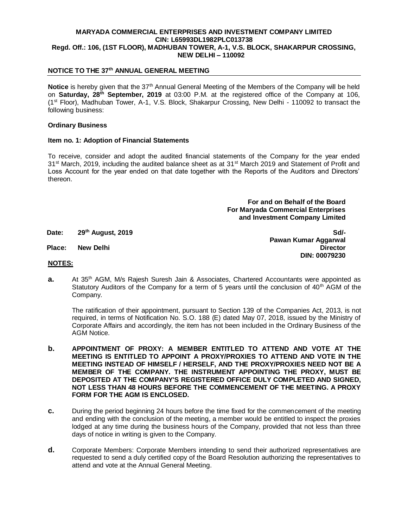## **MARYADA COMMERCIAL ENTERPRISES AND INVESTMENT COMPANY LIMITED CIN: L65993DL1982PLC013738 Regd. Off.: 106, (1ST FLOOR), MADHUBAN TOWER, A-1, V.S. BLOCK, SHAKARPUR CROSSING, NEW DELHI – 110092**

## **NOTICE TO THE 37th ANNUAL GENERAL MEETING**

**Notice** is hereby given that the 37<sup>th</sup> Annual General Meeting of the Members of the Company will be held on **Saturday, 28th September, 2019** at 03:00 P.M. at the registered office of the Company at 106, (1st Floor), Madhuban Tower, A-1, V.S. Block, Shakarpur Crossing, New Delhi - 110092 to transact the following business:

#### **Ordinary Business**

### **Item no. 1: Adoption of Financial Statements**

To receive, consider and adopt the audited financial statements of the Company for the year ended  $31<sup>st</sup>$  March, 2019, including the audited balance sheet as at  $31<sup>st</sup>$  March 2019 and Statement of Profit and Loss Account for the year ended on that date together with the Reports of the Auditors and Directors' thereon.

> **For and on Behalf of the Board For Maryada Commercial Enterprises and Investment Company Limited**

**Date: 29th August, 2019**

**Sd/- Pawan Kumar Aggarwal Place: New Delhi Director DIN: 00079230**

#### **NOTES:**

**a.** At 35<sup>th</sup> AGM, M/s Rajesh Suresh Jain & Associates, Chartered Accountants were appointed as Statutory Auditors of the Company for a term of 5 years until the conclusion of  $40<sup>th</sup>$  AGM of the Company.

The ratification of their appointment, pursuant to Section 139 of the Companies Act, 2013, is not required, in terms of Notification No. S.O. 188 (E) dated May 07, 2018, issued by the Ministry of Corporate Affairs and accordingly, the item has not been included in the Ordinary Business of the AGM Notice.

- **b. APPOINTMENT OF PROXY: A MEMBER ENTITLED TO ATTEND AND VOTE AT THE MEETING IS ENTITLED TO APPOINT A PROXY/PROXIES TO ATTEND AND VOTE IN THE MEETING INSTEAD OF HIMSELF / HERSELF, AND THE PROXY/PROXIES NEED NOT BE A MEMBER OF THE COMPANY. THE INSTRUMENT APPOINTING THE PROXY, MUST BE DEPOSITED AT THE COMPANY'S REGISTERED OFFICE DULY COMPLETED AND SIGNED, NOT LESS THAN 48 HOURS BEFORE THE COMMENCEMENT OF THE MEETING. A PROXY FORM FOR THE AGM IS ENCLOSED.**
- **c.** During the period beginning 24 hours before the time fixed for the commencement of the meeting and ending with the conclusion of the meeting, a member would be entitled to inspect the proxies lodged at any time during the business hours of the Company, provided that not less than three days of notice in writing is given to the Company.
- **d.** Corporate Members: Corporate Members intending to send their authorized representatives are requested to send a duly certified copy of the Board Resolution authorizing the representatives to attend and vote at the Annual General Meeting.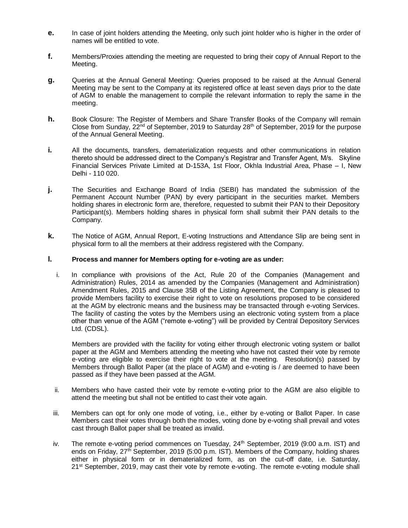- **e.** In case of joint holders attending the Meeting, only such joint holder who is higher in the order of names will be entitled to vote.
- **f.** Members/Proxies attending the meeting are requested to bring their copy of Annual Report to the Meeting.
- **g.** Queries at the Annual General Meeting: Queries proposed to be raised at the Annual General Meeting may be sent to the Company at its registered office at least seven days prior to the date of AGM to enable the management to compile the relevant information to reply the same in the meeting.
- **h.** Book Closure: The Register of Members and Share Transfer Books of the Company will remain Close from Sunday,  $22<sup>nd</sup>$  of September, 2019 to Saturday  $28<sup>th</sup>$  of September, 2019 for the purpose of the Annual General Meeting.
- **i.** All the documents, transfers, dematerialization requests and other communications in relation thereto should be addressed direct to the Company's Registrar and Transfer Agent, M/s. Skyline Financial Services Private Limited at D-153A, 1st Floor, Okhla Industrial Area, Phase – I, New Delhi - 110 020.
- **j.** The Securities and Exchange Board of India (SEBI) has mandated the submission of the Permanent Account Number (PAN) by every participant in the securities market. Members holding shares in electronic form are, therefore, requested to submit their PAN to their Depository Participant(s). Members holding shares in physical form shall submit their PAN details to the Company.
- **k.** The Notice of AGM, Annual Report, E-voting Instructions and Attendance Slip are being sent in physical form to all the members at their address registered with the Company.

## **l. Process and manner for Members opting for e-voting are as under:**

i. In compliance with provisions of the Act, Rule 20 of the Companies (Management and Administration) Rules, 2014 as amended by the Companies (Management and Administration) Amendment Rules, 2015 and Clause 35B of the Listing Agreement, the Company is pleased to provide Members facility to exercise their right to vote on resolutions proposed to be considered at the AGM by electronic means and the business may be transacted through e-voting Services. The facility of casting the votes by the Members using an electronic voting system from a place other than venue of the AGM ("remote e-voting") will be provided by Central Depository Services Ltd. (CDSL).

Members are provided with the facility for voting either through electronic voting system or ballot paper at the AGM and Members attending the meeting who have not casted their vote by remote e-voting are eligible to exercise their right to vote at the meeting. Resolution(s) passed by Members through Ballot Paper (at the place of AGM) and e-voting is / are deemed to have been passed as if they have been passed at the AGM.

- ii. Members who have casted their vote by remote e-voting prior to the AGM are also eligible to attend the meeting but shall not be entitled to cast their vote again.
- iii. Members can opt for only one mode of voting, i.e., either by e-voting or Ballot Paper. In case Members cast their votes through both the modes, voting done by e-voting shall prevail and votes cast through Ballot paper shall be treated as invalid.
- iv. The remote e-voting period commences on Tuesday,  $24<sup>th</sup>$  September, 2019 (9:00 a.m. IST) and ends on Friday, 27<sup>th</sup> September, 2019 (5:00 p.m. IST). Members of the Company, holding shares either in physical form or in dematerialized form, as on the cut-off date, i.e. Saturday, 21<sup>st</sup> September, 2019, may cast their vote by remote e-voting. The remote e-voting module shall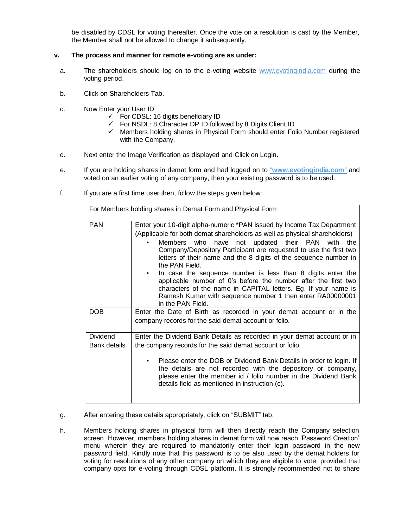be disabled by CDSL for voting thereafter. Once the vote on a resolution is cast by the Member, the Member shall not be allowed to change it subsequently.

# **v. The process and manner for remote e-voting are as under:**

- a. The shareholders should log on to the e-voting website www.evotingindia.com during the voting period.
- b. Click on Shareholders Tab.
- c. Now Enter your User ID
	- $\checkmark$  For CDSL: 16 digits beneficiary ID
	- $\checkmark$  For NSDL: 8 Character DP ID followed by 8 Digits Client ID
	- $\checkmark$  Members holding shares in Physical Form should enter Folio Number registered with the Company.
- d. Next enter the Image Verification as displayed and Click on Login.
- e. If you are holding shares in demat form and had logged on to "**www.evotingindia.com**" and voted on an earlier voting of any company, then your existing password is to be used.
- f. If you are a first time user then, follow the steps given below:

| For Members holding shares in Demat Form and Physical Form |                                                                                                                                                                                                                                                                                                                                                                                                                                                                                                                                                                                                                                                           |  |  |  |
|------------------------------------------------------------|-----------------------------------------------------------------------------------------------------------------------------------------------------------------------------------------------------------------------------------------------------------------------------------------------------------------------------------------------------------------------------------------------------------------------------------------------------------------------------------------------------------------------------------------------------------------------------------------------------------------------------------------------------------|--|--|--|
| <b>PAN</b>                                                 | Enter your 10-digit alpha-numeric *PAN issued by Income Tax Department<br>(Applicable for both demat shareholders as well as physical shareholders)<br>Members who have not updated their PAN<br>with the<br>Company/Depository Participant are requested to use the first two<br>letters of their name and the 8 digits of the sequence number in<br>the PAN Field.<br>In case the sequence number is less than 8 digits enter the<br>applicable number of 0's before the number after the first two<br>characters of the name in CAPITAL letters. Eg. If your name is<br>Ramesh Kumar with sequence number 1 then enter RA00000001<br>in the PAN Field. |  |  |  |
| <b>DOB</b>                                                 | Enter the Date of Birth as recorded in your demat account or in the<br>company records for the said demat account or folio.                                                                                                                                                                                                                                                                                                                                                                                                                                                                                                                               |  |  |  |
| <b>Dividend</b><br>Bank details                            | Enter the Dividend Bank Details as recorded in your demat account or in<br>the company records for the said demat account or folio.<br>Please enter the DOB or Dividend Bank Details in order to login. If<br>the details are not recorded with the depository or company,<br>please enter the member id / folio number in the Dividend Bank<br>details field as mentioned in instruction (c).                                                                                                                                                                                                                                                            |  |  |  |

- g. After entering these details appropriately, click on "SUBMIT" tab.
- h. Members holding shares in physical form will then directly reach the Company selection screen. However, members holding shares in demat form will now reach 'Password Creation' menu wherein they are required to mandatorily enter their login password in the new password field. Kindly note that this password is to be also used by the demat holders for voting for resolutions of any other company on which they are eligible to vote, provided that company opts for e-voting through CDSL platform. It is strongly recommended not to share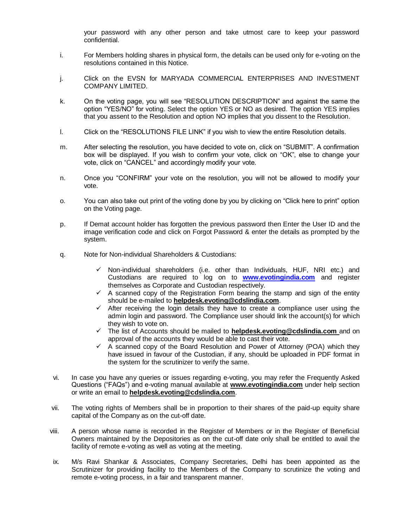your password with any other person and take utmost care to keep your password confidential.

- i. For Members holding shares in physical form, the details can be used only for e-voting on the resolutions contained in this Notice.
- j. Click on the EVSN for MARYADA COMMERCIAL ENTERPRISES AND INVESTMENT COMPANY LIMITED.
- k. On the voting page, you will see "RESOLUTION DESCRIPTION" and against the same the option "YES/NO" for voting. Select the option YES or NO as desired. The option YES implies that you assent to the Resolution and option NO implies that you dissent to the Resolution.
- l. Click on the "RESOLUTIONS FILE LINK" if you wish to view the entire Resolution details.
- m. After selecting the resolution, you have decided to vote on, click on "SUBMIT". A confirmation box will be displayed. If you wish to confirm your vote, click on "OK", else to change your vote, click on "CANCEL" and accordingly modify your vote.
- n. Once you "CONFIRM" your vote on the resolution, you will not be allowed to modify your vote.
- o. You can also take out print of the voting done by you by clicking on "Click here to print" option on the Voting page.
- p. If Demat account holder has forgotten the previous password then Enter the User ID and the image verification code and click on Forgot Password & enter the details as prompted by the system.
- q. Note for Non-individual Shareholders & Custodians:
	- $\checkmark$  Non-individual shareholders (i.e. other than Individuals, HUF, NRI etc.) and Custodians are required to log on to **[www.evotingindia.com](http://www.evotingindia.com/)** and register themselves as Corporate and Custodian respectively.
	- $\checkmark$  A scanned copy of the Registration Form bearing the stamp and sign of the entity should be e-mailed to **helpdesk.evoting@cdslindia.com**.
	- $\checkmark$  After receiving the login details they have to create a compliance user using the admin login and password. The Compliance user should link the account(s) for which they wish to vote on.
	- The list of Accounts should be mailed to **[helpdesk.evoting@cdslindia.com](mailto:helpdesk.evoting@cdslindia.com)** and on approval of the accounts they would be able to cast their vote.
	- $\checkmark$  A scanned copy of the Board Resolution and Power of Attorney (POA) which they have issued in favour of the Custodian, if any, should be uploaded in PDF format in the system for the scrutinizer to verify the same.
- vi. In case you have any queries or issues regarding e-voting, you may refer the Frequently Asked Questions ("FAQs") and e-voting manual available at **www.evotingindia.com** under help section or write an email to **helpdesk.evoting@cdslindia.com**.
- vii. The voting rights of Members shall be in proportion to their shares of the paid-up equity share capital of the Company as on the cut-off date.
- viii. A person whose name is recorded in the Register of Members or in the Register of Beneficial Owners maintained by the Depositories as on the cut-off date only shall be entitled to avail the facility of remote e-voting as well as voting at the meeting.
- ix. M/s Ravi Shankar & Associates, Company Secretaries, Delhi has been appointed as the Scrutinizer for providing facility to the Members of the Company to scrutinize the voting and remote e-voting process, in a fair and transparent manner.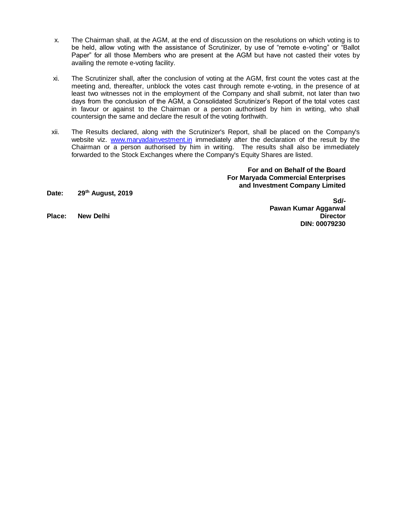- x. The Chairman shall, at the AGM, at the end of discussion on the resolutions on which voting is to be held, allow voting with the assistance of Scrutinizer, by use of "remote e-voting" or "Ballot Paper" for all those Members who are present at the AGM but have not casted their votes by availing the remote e-voting facility.
- xi. The Scrutinizer shall, after the conclusion of voting at the AGM, first count the votes cast at the meeting and, thereafter, unblock the votes cast through remote e-voting, in the presence of at least two witnesses not in the employment of the Company and shall submit, not later than two days from the conclusion of the AGM, a Consolidated Scrutinizer's Report of the total votes cast in favour or against to the Chairman or a person authorised by him in writing, who shall countersign the same and declare the result of the voting forthwith.
- xii. The Results declared, along with the Scrutinizer's Report, shall be placed on the Company's website viz. [www.maryadainvestment.in](http://www.maryadainvestment.in/) immediately after the declaration of the result by the Chairman or a person authorised by him in writing. The results shall also be immediately forwarded to the Stock Exchanges where the Company's Equity Shares are listed.

**For and on Behalf of the Board For Maryada Commercial Enterprises and Investment Company Limited**

**Date: 29th August, 2019**

**Sd/- Pawan Kumar Aggarwal Place: New Delhi Director DIN: 00079230**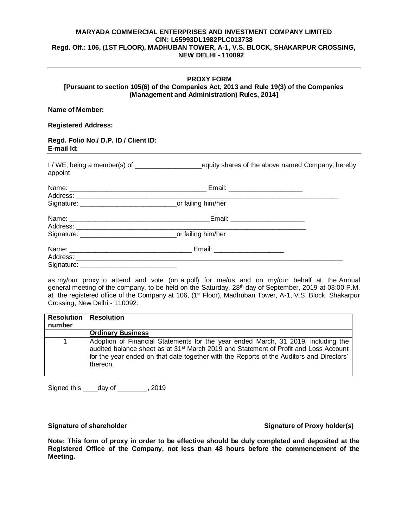## **MARYADA COMMERCIAL ENTERPRISES AND INVESTMENT COMPANY LIMITED CIN: L65993DL1982PLC013738 Regd. Off.: 106, (1ST FLOOR), MADHUBAN TOWER, A-1, V.S. BLOCK, SHAKARPUR CROSSING, NEW DELHI - 110092**

## **PROXY FORM [Pursuant to section 105(6) of the Companies Act, 2013 and Rule 19(3) of the Companies (Management and Administration) Rules, 2014]**

## **Name of Member:**

### **Registered Address:**

#### **Regd. Folio No./ D.P. ID / Client ID: E-mail Id:**

I / WE, being a member(s) of \_\_\_\_\_\_\_\_\_\_\_\_\_\_\_\_\_\_equity shares of the above named Company, hereby appoint

|            | Email: _______________________                                                                                                                                                                                                                                   |  |
|------------|------------------------------------------------------------------------------------------------------------------------------------------------------------------------------------------------------------------------------------------------------------------|--|
|            |                                                                                                                                                                                                                                                                  |  |
|            | Email: ________________________                                                                                                                                                                                                                                  |  |
|            |                                                                                                                                                                                                                                                                  |  |
| Signature: | Email: _______________________<br>Address: Analysis and the state of the state of the state of the state of the state of the state of the state of the state of the state of the state of the state of the state of the state of the state of the state of the s |  |

as my/our proxy to attend and vote (on a poll) for me/us and on my/our behalf at the Annual general meeting of the company, to be held on the Saturday, 28<sup>th</sup> day of September, 2019 at 03:00 P.M. at the registered office of the Company at 106, (1st Floor), Madhuban Tower, A-1, V.S. Block, Shakarpur Crossing, New Delhi - 110092:

| <b>Resolution</b><br>number | <b>Resolution</b>                                                                                                                                                                                                                                                                             |
|-----------------------------|-----------------------------------------------------------------------------------------------------------------------------------------------------------------------------------------------------------------------------------------------------------------------------------------------|
|                             | <b>Ordinary Business</b>                                                                                                                                                                                                                                                                      |
|                             | Adoption of Financial Statements for the year ended March, 31 2019, including the<br>audited balance sheet as at 31 <sup>st</sup> March 2019 and Statement of Profit and Loss Account<br>for the year ended on that date together with the Reports of the Auditors and Directors'<br>thereon. |

Signed this \_\_\_\_day of \_\_\_\_\_\_\_, 2019

## Signature of shareholder **Signature of Proxy holder(s) Signature of Proxy holder(s)**

**Note: This form of proxy in order to be effective should be duly completed and deposited at the Registered Office of the Company, not less than 48 hours before the commencement of the Meeting.**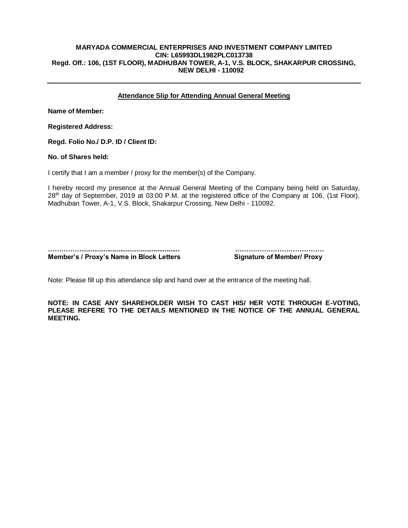## **MARYADA COMMERCIAL ENTERPRISES AND INVESTMENT COMPANY LIMITED CIN: L65993DL1982PLC013738 Regd. Off.: 106, (1ST FLOOR), MADHUBAN TOWER, A-1, V.S. BLOCK, SHAKARPUR CROSSING, NEW DELHI - 110092**

# **Attendance Slip for Attending Annual General Meeting**

**Name of Member:**

**Registered Address:** 

**Regd. Folio No./ D.P. ID / Client ID:** 

**No. of Shares held:** 

I certify that I am a member / proxy for the member(s) of the Company.

I hereby record my presence at the Annual General Meeting of the Company being held on Saturday, 28<sup>th</sup> day of September, 2019 at 03:00 P.M. at the registered office of the Company at 106, (1st Floor), Madhuban Tower, A-1, V.S. Block, Shakarpur Crossing, New Delhi - 110092.

**……………..................................................... ………………………………….** 

**Member's / Proxy's Name in Block Letters Signature of Member/ Proxy** 

Note: Please fill up this attendance slip and hand over at the entrance of the meeting hall.

**NOTE: IN CASE ANY SHAREHOLDER WISH TO CAST HIS/ HER VOTE THROUGH E-VOTING, PLEASE REFERE TO THE DETAILS MENTIONED IN THE NOTICE OF THE ANNUAL GENERAL MEETING.**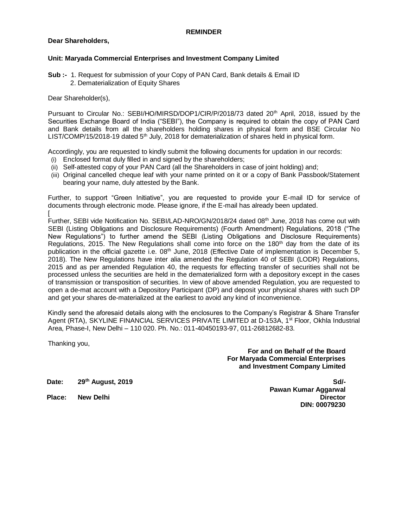### **REMINDER**

## **Dear Shareholders,**

## **Unit: Maryada Commercial Enterprises and Investment Company Limited**

**Sub :-** 1. Request for submission of your Copy of PAN Card, Bank details & Email ID 2. Dematerialization of Equity Shares

## Dear Shareholder(s),

Pursuant to Circular No.: SEBI/HO/MIRSD/DOP1/CIR/P/2018/73 dated 20<sup>th</sup> April, 2018, issued by the Securities Exchange Board of India ("SEBI"), the Company is required to obtain the copy of PAN Card and Bank details from all the shareholders holding shares in physical form and BSE Circular No LIST/COMP/15/2018-19 dated 5<sup>th</sup> July, 2018 for dematerialization of shares held in physical form.

Accordingly, you are requested to kindly submit the following documents for updation in our records:

- (i) Enclosed format duly filled in and signed by the shareholders;
- (ii) Self-attested copy of your PAN Card (all the Shareholders in case of joint holding) and;
- (iii) Original cancelled cheque leaf with your name printed on it or a copy of Bank Passbook/Statement bearing your name, duly attested by the Bank.

Further, to support "Green Initiative", you are requested to provide your E-mail ID for service of documents through electronic mode. Please ignore, if the E-mail has already been updated. [

Further, SEBI vide Notification No. SEBI/LAD-NRO/GN/2018/24 dated 08<sup>th</sup> June, 2018 has come out with SEBI (Listing Obligations and Disclosure Requirements) (Fourth Amendment) Regulations, 2018 ("The New Regulations") to further amend the SEBI (Listing Obligations and Disclosure Requirements) Regulations, 2015. The New Regulations shall come into force on the 180<sup>th</sup> day from the date of its publication in the official gazette i.e. 08<sup>th</sup> June, 2018 (Effective Date of implementation is December 5, 2018). The New Regulations have inter alia amended the Regulation 40 of SEBI (LODR) Regulations, 2015 and as per amended Regulation 40, the requests for effecting transfer of securities shall not be processed unless the securities are held in the dematerialized form with a depository except in the cases of transmission or transposition of securities. In view of above amended Regulation, you are requested to open a de-mat account with a Depository Participant (DP) and deposit your physical shares with such DP and get your shares de-materialized at the earliest to avoid any kind of inconvenience.

Kindly send the aforesaid details along with the enclosures to the Company's Registrar & Share Transfer Agent (RTA), SKYLINE FINANCIAL SERVICES PRIVATE LIMITED at D-153A, 1<sup>st</sup> Floor, Okhla Industrial Area, Phase-I, New Delhi – 110 020. Ph. No.: 011-40450193-97, 011-26812682-83.

Thanking you,

**For and on Behalf of the Board For Maryada Commercial Enterprises and Investment Company Limited**

**Date: 29th August, 2019**

**Sd/- Pawan Kumar Aggarwal Place: New Delhi Director DIN: 00079230**